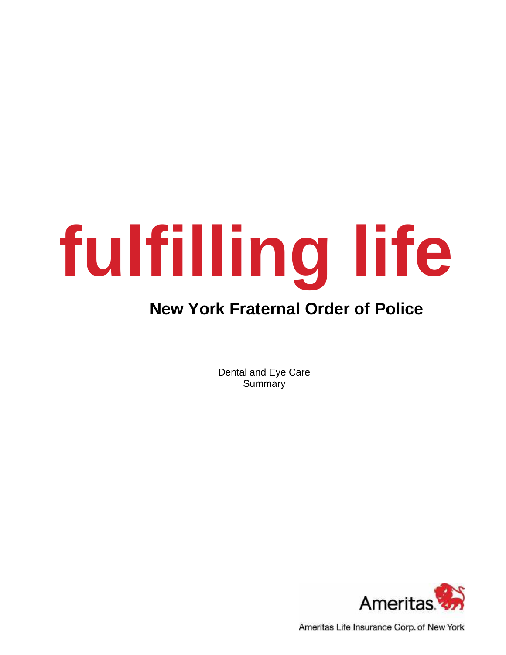# **fulfilling life**

## **New York Fraternal Order of Police**

Dental and Eye Care **Summary** 



Ameritas Life Insurance Corp. of New York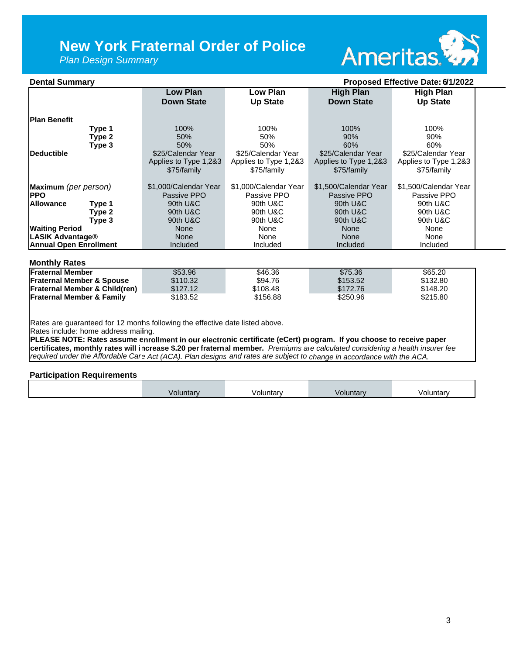## **New York Fraternal Order of Police**

*Plan Design Summary*



| <b>Dental Summary</b><br>Proposed Effective Date: 6/1/2022                                                                     |                       |                       |                       |                       |  |
|--------------------------------------------------------------------------------------------------------------------------------|-----------------------|-----------------------|-----------------------|-----------------------|--|
|                                                                                                                                | <b>Low Plan</b>       | Low Plan              | <b>High Plan</b>      | <b>High Plan</b>      |  |
|                                                                                                                                | <b>Down State</b>     | <b>Up State</b>       | <b>Down State</b>     | <b>Up State</b>       |  |
|                                                                                                                                |                       |                       |                       |                       |  |
| <b>Plan Benefit</b>                                                                                                            |                       |                       |                       |                       |  |
| Type 1                                                                                                                         | 100%                  | 100%                  | 100%                  | 100%                  |  |
| Type 2                                                                                                                         | 50%                   | 50%                   | 90%                   | 90%                   |  |
| Type 3                                                                                                                         | 50%                   | 50%                   | 60%                   | 60%                   |  |
| <b>Deductible</b>                                                                                                              | \$25/Calendar Year    | \$25/Calendar Year    | \$25/Calendar Year    | \$25/Calendar Year    |  |
|                                                                                                                                | Applies to Type 1,2&3 | Applies to Type 1,2&3 | Applies to Type 1,2&3 | Applies to Type 1,2&3 |  |
|                                                                                                                                | \$75/family           | \$75/family           | \$75/family           | \$75/family           |  |
| Maximum (per person)                                                                                                           | \$1,000/Calendar Year | \$1,000/Calendar Year | \$1,500/Calendar Year | \$1,500/Calendar Year |  |
| <b>PPO</b>                                                                                                                     | Passive PPO           | Passive PPO           | Passive PPO           | Passive PPO           |  |
| <b>Allowance</b><br>Type 1                                                                                                     | 90th U&C              | 90th U&C              | 90th U&C              | 90th U&C              |  |
| Type 2                                                                                                                         | 90th U&C              | 90th U&C              | 90th U&C              | 90th U&C              |  |
| Type 3                                                                                                                         | 90th U&C              | 90th U&C              | 90th U&C              | 90th U&C              |  |
| <b>Waiting Period</b>                                                                                                          | None                  | None                  | None                  | None                  |  |
| <b>LASIK Advantage®</b>                                                                                                        | None                  | None                  | None                  | None                  |  |
| <b>Annual Open Enrollment</b>                                                                                                  | Included              | Included              | Included              | Included              |  |
| <b>Monthly Rates</b>                                                                                                           |                       |                       |                       |                       |  |
| <b>Fraternal Member</b>                                                                                                        | \$53.96               | \$46.36               | \$75.36               | \$65.20               |  |
| <b>Fraternal Member &amp; Spouse</b>                                                                                           | \$110.32              | \$94.76               | \$153.52              | \$132.80              |  |
| <b>Fraternal Member &amp; Child(ren)</b>                                                                                       | \$127.12              | \$108.48              | \$172.76              | \$148.20              |  |
| <b>Fraternal Member &amp; Family</b>                                                                                           | \$183.52              | \$156.88              | \$250.96              | \$215.80              |  |
|                                                                                                                                |                       |                       |                       |                       |  |
| Rates are guaranteed for 12 monhs following the effective date listed above.                                                   |                       |                       |                       |                       |  |
| Rates include: home address mailing.                                                                                           |                       |                       |                       |                       |  |
| PLEASE NOTE: Rates assume enrollment in our electronic certificate (eCert) program. If you choose to receive paper             |                       |                       |                       |                       |  |
| certificates, monthly rates will increase \$.20 per fraternal member. Premiums are calculated considering a health insurer fee |                       |                       |                       |                       |  |
| required under the Affordable Care Act (ACA). Plan designs and rates are subject to change in accordance with the ACA.         |                       |                       |                       |                       |  |
|                                                                                                                                |                       |                       |                       |                       |  |

## **Participation Requirements**

| Jntar\ | งluntarv | luntarv | วluntarv |
|--------|----------|---------|----------|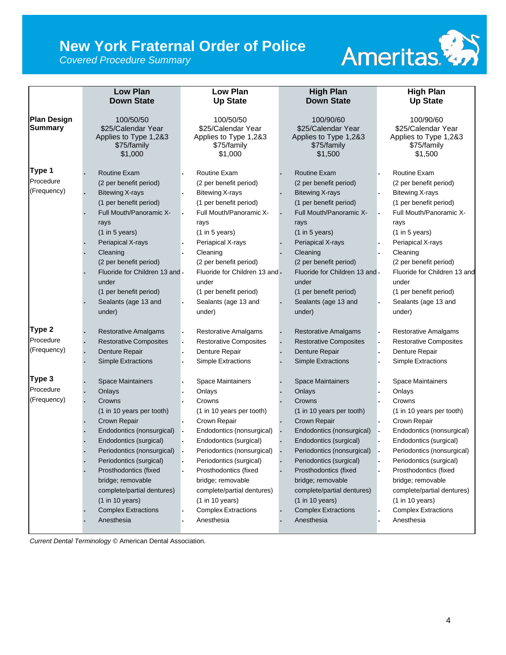# **New York Fraternal Order of Police**

*Covered Procedure Summary*



|                    | <b>Low Plan</b>                | <b>Low Plan</b>                | <b>High Plan</b>                  | <b>High Plan</b>              |
|--------------------|--------------------------------|--------------------------------|-----------------------------------|-------------------------------|
|                    | <b>Down State</b>              | <b>Up State</b>                | <b>Down State</b>                 | <b>Up State</b>               |
| <b>Plan Design</b> | 100/50/50                      | 100/50/50                      | 100/90/60                         | 100/90/60                     |
| <b>Summary</b>     | \$25/Calendar Year             | \$25/Calendar Year             | \$25/Calendar Year                | \$25/Calendar Year            |
|                    | Applies to Type 1,2&3          | Applies to Type 1,2&3          | Applies to Type 1,2&3             | Applies to Type 1,2&3         |
|                    | \$75/family                    | \$75/family                    | \$75/family                       | \$75/family                   |
|                    | \$1,000                        | \$1,000                        | \$1,500                           | \$1,500                       |
| Type 1             | <b>Routine Exam</b>            | <b>Routine Exam</b>            | <b>Routine Exam</b>               | Routine Exam                  |
| Procedure          | (2 per benefit period)         | (2 per benefit period)         | (2 per benefit period)            | (2 per benefit period)        |
| (Frequency)        | <b>Bitewing X-rays</b>         | <b>Bitewing X-rays</b>         | <b>Bitewing X-rays</b>            | <b>Bitewing X-rays</b>        |
|                    | (1 per benefit period)         | (1 per benefit period)         | (1 per benefit period)            | (1 per benefit period)        |
|                    | Full Mouth/Panoramic X-        | Full Mouth/Panoramic X-        | Full Mouth/Panoramic X-           | Full Mouth/Panoramic X-       |
|                    | rays                           | rays                           | rays                              | rays                          |
|                    | (1 in 5 years)                 | (1 in 5 years)                 | $(1 \text{ in } 5 \text{ years})$ | (1 in 5 years)                |
|                    | Periapical X-rays              | Periapical X-rays              | Periapical X-rays                 | Periapical X-rays             |
|                    | Cleaning                       | Cleaning                       | Cleaning                          | Cleaning                      |
|                    | (2 per benefit period)         | (2 per benefit period)         | (2 per benefit period)            | (2 per benefit period)        |
|                    | Fluoride for Children 13 and - | Fluoride for Children 13 and - | Fluoride for Children 13 and -    | Fluoride for Children 13 and  |
|                    | under                          | under                          | under                             | under                         |
|                    | (1 per benefit period)         | (1 per benefit period)         | (1 per benefit period)            | (1 per benefit period)        |
|                    | Sealants (age 13 and           | Sealants (age 13 and           | Sealants (age 13 and              | Sealants (age 13 and          |
|                    | under)                         | under)                         | under)                            | under)                        |
| Type 2             | <b>Restorative Amalgams</b>    | <b>Restorative Amalgams</b>    | <b>Restorative Amalgams</b>       | <b>Restorative Amalgams</b>   |
| Procedure          | <b>Restorative Composites</b>  | <b>Restorative Composites</b>  | <b>Restorative Composites</b>     | <b>Restorative Composites</b> |
| (Frequency)        | Denture Repair                 | Denture Repair                 | Denture Repair                    | Denture Repair                |
|                    | Simple Extractions             | Simple Extractions             | <b>Simple Extractions</b>         | Simple Extractions            |
| Type 3             | <b>Space Maintainers</b>       | <b>Space Maintainers</b>       | <b>Space Maintainers</b>          | <b>Space Maintainers</b>      |
| Procedure          | Onlays                         | Onlays                         | Onlays                            | Onlays                        |
| (Frequency)        | Crowns                         | Crowns                         | Crowns                            | Crowns                        |
|                    | (1 in 10 years per tooth)      | (1 in 10 years per tooth)      | (1 in 10 years per tooth)         | (1 in 10 years per tooth)     |
|                    | Crown Repair                   | Crown Repair                   | Crown Repair                      | Crown Repair                  |
|                    | Endodontics (nonsurgical)      | Endodontics (nonsurgical)      | Endodontics (nonsurgical)         | Endodontics (nonsurgical)     |
|                    | Endodontics (surgical)         | Endodontics (surgical)         | Endodontics (surgical)            | Endodontics (surgical)        |
|                    | Periodontics (nonsurgical)     | Periodontics (nonsurgical)     | Periodontics (nonsurgical)        | Periodontics (nonsurgical)    |
|                    | Periodontics (surgical)        | Periodontics (surgical)        | Periodontics (surgical)           | Periodontics (surgical)       |
|                    | Prosthodontics (fixed          | Prosthodontics (fixed          | Prosthodontics (fixed             | Prosthodontics (fixed         |
|                    | bridge; removable              | bridge; removable              | bridge; removable                 | bridge; removable             |
|                    | complete/partial dentures)     | complete/partial dentures)     | complete/partial dentures)        | complete/partial dentures)    |
|                    | (1 in 10 years)                | (1 in 10 years)                | (1 in 10 years)                   | (1 in 10 years)               |
|                    | <b>Complex Extractions</b>     | <b>Complex Extractions</b>     | <b>Complex Extractions</b>        | <b>Complex Extractions</b>    |
|                    | Anesthesia                     | Anesthesia                     | Anesthesia                        | Anesthesia                    |
|                    |                                |                                |                                   |                               |

*Current Dental Terminology* © American Dental Association.